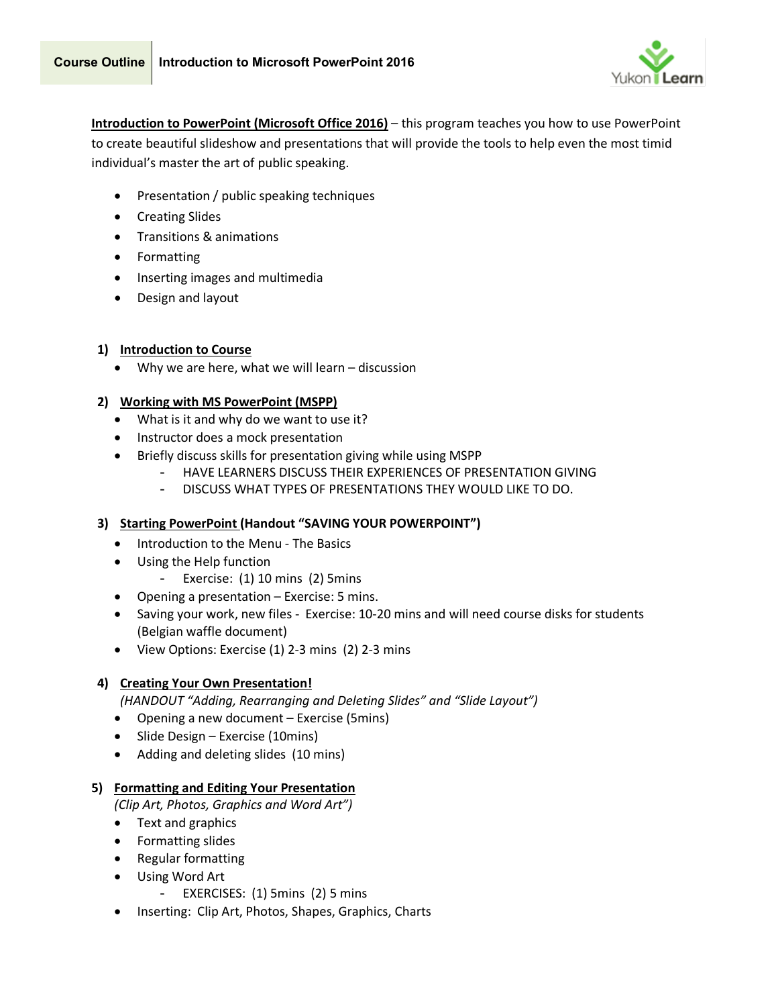

**Introduction to PowerPoint (Microsoft Office 2016)** – this program teaches you how to use PowerPoint to create beautiful slideshow and presentations that will provide the tools to help even the most timid individual's master the art of public speaking.

- Presentation / public speaking techniques
- Creating Slides
- Transitions & animations
- Formatting
- Inserting images and multimedia
- Design and layout

# **1) Introduction to Course**

• Why we are here, what we will learn – discussion

# **2) Working with MS PowerPoint (MSPP)**

- What is it and why do we want to use it?
- Instructor does a mock presentation
- Briefly discuss skills for presentation giving while using MSPP
	- HAVE LEARNERS DISCUSS THEIR EXPERIENCES OF PRESENTATION GIVING
	- DISCUSS WHAT TYPES OF PRESENTATIONS THEY WOULD LIKE TO DO.

# **3) Starting PowerPoint (Handout "SAVING YOUR POWERPOINT")**

- Introduction to the Menu The Basics
- Using the Help function
	- Exercise: (1) 10 mins (2) 5mins
- Opening a presentation Exercise: 5 mins.
- Saving your work, new files Exercise: 10-20 mins and will need course disks for students (Belgian waffle document)
- View Options: Exercise (1) 2-3 mins (2) 2-3 mins

# **4) Creating Your Own Presentation!**

*(HANDOUT "Adding, Rearranging and Deleting Slides" and "Slide Layout")*

- Opening a new document Exercise (5mins)
- Slide Design Exercise (10mins)
- Adding and deleting slides (10 mins)

# **5) Formatting and Editing Your Presentation**

*(Clip Art, Photos, Graphics and Word Art")*

- Text and graphics
- Formatting slides
- Regular formatting
- Using Word Art
	- EXERCISES: (1) 5mins (2) 5 mins
- Inserting: Clip Art, Photos, Shapes, Graphics, Charts